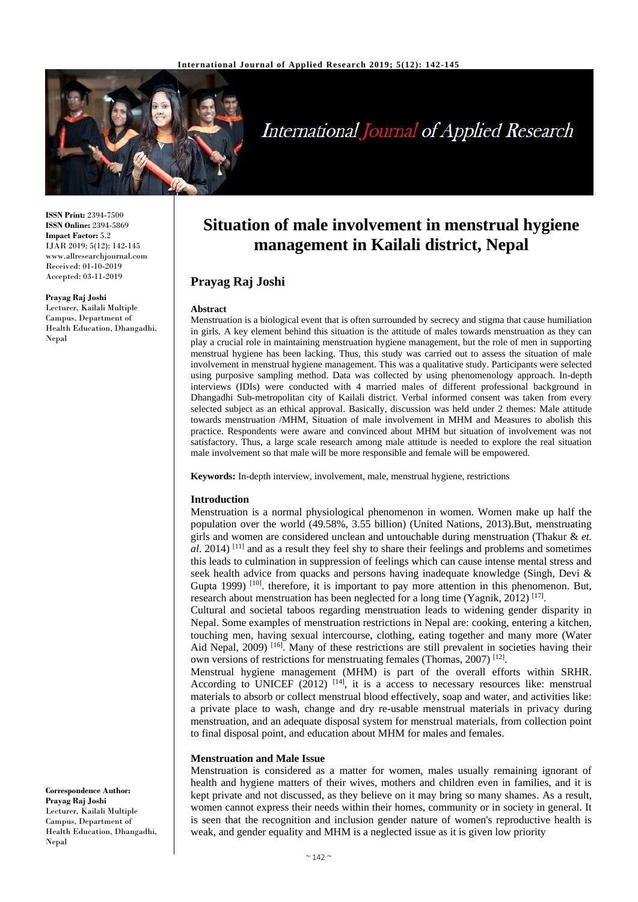

# **International Journal of Applied Research**

**ISSN Print:** 2394-7500 **ISSN Online:** 2394-5869 **Impact Factor:** 5.2 IJAR 2019; 5(12): 142-145 www.allresearchjournal.com Received: 01-10-2019 Accepted: 03-11-2019

**Prayag Raj Joshi** Lecturer, Kailali Multiple Campus, Department of Health Education, Dhangadhi, Nepal

**Situation of male involvement in menstrual hygiene management in Kailali district, Nepal**

# **Prayag Raj Joshi**

## **Abstract**

Menstruation is a biological event that is often surrounded by secrecy and stigma that cause humiliation in girls. A key element behind this situation is the attitude of males towards menstruation as they can play a crucial role in maintaining menstruation hygiene management, but the role of men in supporting menstrual hygiene has been lacking. Thus, this study was carried out to assess the situation of male involvement in menstrual hygiene management. This was a qualitative study. Participants were selected using purposive sampling method. Data was collected by using phenomenology approach. In-depth interviews (IDIs) were conducted with 4 married males of different professional background in Dhangadhi Sub-metropolitan city of Kailali district. Verbal informed consent was taken from every selected subject as an ethical approval. Basically, discussion was held under 2 themes: Male attitude towards menstruation /MHM, Situation of male involvement in MHM and Measures to abolish this practice. Respondents were aware and convinced about MHM but situation of involvement was not satisfactory. Thus, a large scale research among male attitude is needed to explore the real situation male involvement so that male will be more responsible and female will be empowered.

**Keywords:** In-depth interview, involvement, male, menstrual hygiene, restrictions

## **Introduction**

Menstruation is a normal physiological phenomenon in women. Women make up half the population over the world (49.58%, 3.55 billion) (United Nations, 2013).But, menstruating girls and women are considered unclean and untouchable during menstruation (Thakur & *et. al*. 2014) <sup>[11]</sup> and as a result they feel shy to share their feelings and problems and sometimes this leads to culmination in suppression of feelings which can cause intense mental stress and seek health advice from quacks and persons having inadequate knowledge (Singh, Devi & Gupta 1999)<sup>[10]</sup>. therefore, it is important to pay more attention in this phenomenon. But, research about menstruation has been neglected for a long time (Yagnik, 2012)<sup>[17]</sup>.

Cultural and societal taboos regarding menstruation leads to widening gender disparity in Nepal. Some examples of menstruation restrictions in Nepal are: cooking, entering a kitchen, touching men, having sexual intercourse, clothing, eating together and many more (Water Aid Nepal, 2009) <sup>[16]</sup>. Many of these restrictions are still prevalent in societies having their own versions of restrictions for menstruating females (Thomas, 2007)<sup>[12]</sup>.

Menstrual hygiene management (MHM) is part of the overall efforts within SRHR. According to UNICEF (2012)  $[14]$ , it is a access to necessary resources like: menstrual materials to absorb or collect menstrual blood effectively, soap and water, and activities like: a private place to wash, change and dry re-usable menstrual materials in privacy during menstruation, and an adequate disposal system for menstrual materials, from collection point to final disposal point, and education about MHM for males and females.

## **Menstruation and Male Issue**

Menstruation is considered as a matter for women, males usually remaining ignorant of health and hygiene matters of their wives, mothers and children even in families, and it is kept private and not discussed, as they believe on it may bring so many shames. As a result, women cannot express their needs within their homes, community or in society in general. It is seen that the recognition and inclusion gender nature of women's reproductive health is weak, and gender equality and MHM is a neglected issue as it is given low priority

**Correspondence Author: Prayag Raj Joshi** Lecturer, Kailali Multiple Campus, Department of Health Education, Dhangadhi, Nepal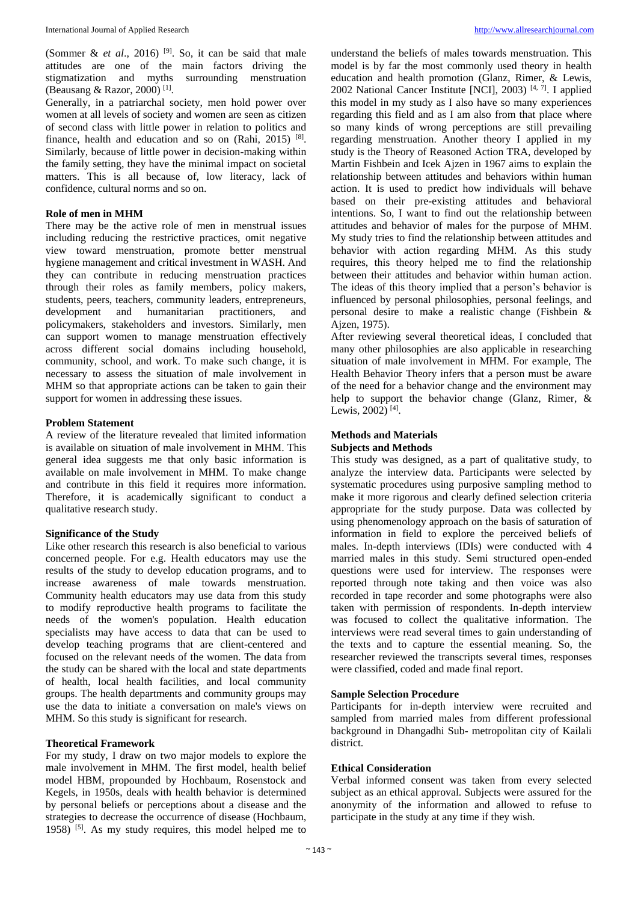(Sommer & *et al.*, 2016) <sup>[9]</sup>. So, it can be said that male attitudes are one of the main factors driving the stigmatization and myths surrounding menstruation (Beausang & Razor, 2000)<sup>[1]</sup>.

Generally, in a patriarchal society, men hold power over women at all levels of society and women are seen as citizen of second class with little power in relation to politics and finance, health and education and so on  $(Rahi, 2015)$ <sup>[8]</sup>. Similarly, because of little power in decision-making within the family setting, they have the minimal impact on societal matters. This is all because of, low literacy, lack of confidence, cultural norms and so on.

# **Role of men in MHM**

There may be the active role of men in menstrual issues including reducing the restrictive practices, omit negative view toward menstruation, promote better menstrual hygiene management and critical investment in WASH. And they can contribute in reducing menstruation practices through their roles as family members, policy makers, students, peers, teachers, community leaders, entrepreneurs, development and humanitarian practitioners, and policymakers, stakeholders and investors. Similarly, men can support women to manage menstruation effectively across different social domains including household, community, school, and work. To make such change, it is necessary to assess the situation of male involvement in MHM so that appropriate actions can be taken to gain their support for women in addressing these issues.

## **Problem Statement**

A review of the literature revealed that limited information is available on situation of male involvement in MHM. This general idea suggests me that only basic information is available on male involvement in MHM. To make change and contribute in this field it requires more information. Therefore, it is academically significant to conduct a qualitative research study.

# **Significance of the Study**

Like other research this research is also beneficial to various concerned people. For e.g. Health educators may use the results of the study to develop education programs, and to increase awareness of male towards menstruation. Community health educators may use data from this study to modify reproductive health programs to facilitate the needs of the women's population. Health education specialists may have access to data that can be used to develop teaching programs that are client-centered and focused on the relevant needs of the women. The data from the study can be shared with the local and state departments of health, local health facilities, and local community groups. The health departments and community groups may use the data to initiate a conversation on male's views on MHM. So this study is significant for research.

# **Theoretical Framework**

For my study, I draw on two major models to explore the male involvement in MHM. The first model, health belief model HBM, propounded by Hochbaum, Rosenstock and Kegels, in 1950s, deals with health behavior is determined by personal beliefs or perceptions about a disease and the strategies to decrease the occurrence of disease (Hochbaum, 1958) <sup>[5]</sup>. As my study requires, this model helped me to understand the beliefs of males towards menstruation. This model is by far the most commonly used theory in health education and health promotion (Glanz, Rimer, & Lewis, 2002 National Cancer Institute [NCI], 2003)<sup>[4, 7]</sup>. I applied this model in my study as I also have so many experiences regarding this field and as I am also from that place where so many kinds of wrong perceptions are still prevailing regarding menstruation. Another theory I applied in my study is the Theory of Reasoned Action TRA, developed by Martin Fishbein and Icek Ajzen in 1967 aims to explain the relationship between attitudes and behaviors within human action. It is used to predict how individuals will behave based on their pre-existing attitudes and behavioral intentions. So, I want to find out the relationship between attitudes and behavior of males for the purpose of MHM. My study tries to find the relationship between attitudes and behavior with action regarding MHM. As this study requires, this theory helped me to find the relationship between their attitudes and behavior within human action. The ideas of this theory implied that a person's behavior is influenced by personal philosophies, personal feelings, and personal desire to make a realistic change (Fishbein & Ajzen, 1975).

After reviewing several theoretical ideas, I concluded that many other philosophies are also applicable in researching situation of male involvement in MHM. For example, The Health Behavior Theory infers that a person must be aware of the need for a behavior change and the environment may help to support the behavior change (Glanz, Rimer, & Lewis, 2002)<sup>[4]</sup>.

# **Methods and Materials**

## **Subjects and Methods**

This study was designed, as a part of qualitative study, to analyze the interview data. Participants were selected by systematic procedures using purposive sampling method to make it more rigorous and clearly defined selection criteria appropriate for the study purpose. Data was collected by using phenomenology approach on the basis of saturation of information in field to explore the perceived beliefs of males. In-depth interviews (IDIs) were conducted with 4 married males in this study. Semi structured open-ended questions were used for interview. The responses were reported through note taking and then voice was also recorded in tape recorder and some photographs were also taken with permission of respondents. In-depth interview was focused to collect the qualitative information. The interviews were read several times to gain understanding of the texts and to capture the essential meaning. So, the researcher reviewed the transcripts several times, responses were classified, coded and made final report.

#### **Sample Selection Procedure**

Participants for in-depth interview were recruited and sampled from married males from different professional background in Dhangadhi Sub- metropolitan city of Kailali district.

# **Ethical Consideration**

Verbal informed consent was taken from every selected subject as an ethical approval. Subjects were assured for the anonymity of the information and allowed to refuse to participate in the study at any time if they wish.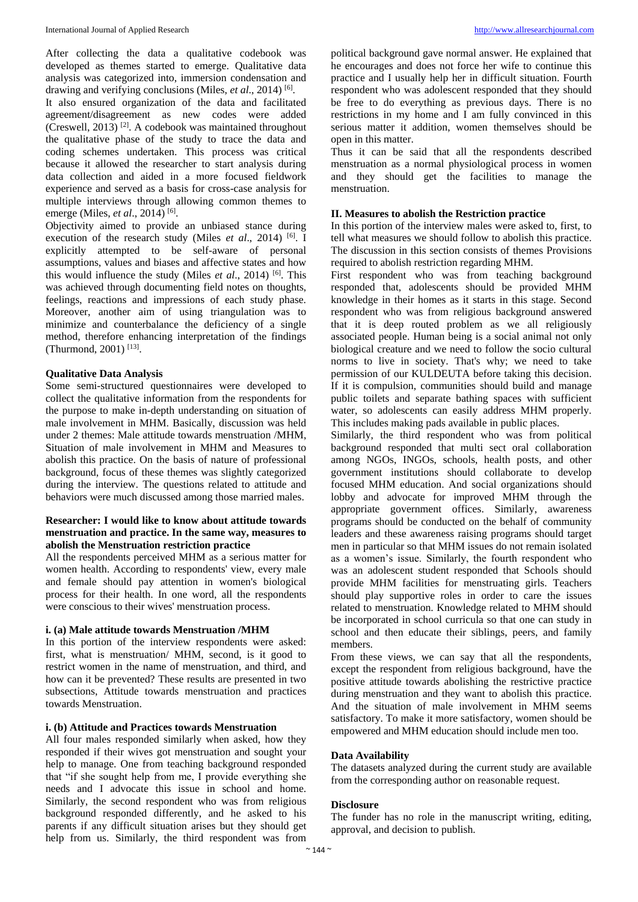After collecting the data a qualitative codebook was developed as themes started to emerge. Qualitative data analysis was categorized into, immersion condensation and drawing and verifying conclusions (Miles, *et al.*, 2014)<sup>[6]</sup>.

It also ensured organization of the data and facilitated agreement/disagreement as new codes were added (Creswell, 2013)<sup>[2]</sup>. A codebook was maintained throughout the qualitative phase of the study to trace the data and coding schemes undertaken. This process was critical because it allowed the researcher to start analysis during data collection and aided in a more focused fieldwork experience and served as a basis for cross-case analysis for multiple interviews through allowing common themes to emerge (Miles, *et al.*, 2014)<sup>[6]</sup>.

Objectivity aimed to provide an unbiased stance during execution of the research study (Miles *et al.*, 2014) <sup>[6]</sup>. I explicitly attempted to be self-aware of personal assumptions, values and biases and affective states and how this would influence the study (Miles *et al*., 2014) [6] . This was achieved through documenting field notes on thoughts, feelings, reactions and impressions of each study phase. Moreover, another aim of using triangulation was to minimize and counterbalance the deficiency of a single method, therefore enhancing interpretation of the findings (Thurmond, 2001)<sup>[13]</sup>.

## **Qualitative Data Analysis**

Some semi-structured questionnaires were developed to collect the qualitative information from the respondents for the purpose to make in-depth understanding on situation of male involvement in MHM. Basically, discussion was held under 2 themes: Male attitude towards menstruation /MHM, Situation of male involvement in MHM and Measures to abolish this practice. On the basis of nature of professional background, focus of these themes was slightly categorized during the interview. The questions related to attitude and behaviors were much discussed among those married males.

# **Researcher: I would like to know about attitude towards menstruation and practice. In the same way, measures to abolish the Menstruation restriction practice**

All the respondents perceived MHM as a serious matter for women health. According to respondents' view, every male and female should pay attention in women's biological process for their health. In one word, all the respondents were conscious to their wives' menstruation process.

#### **i. (a) Male attitude towards Menstruation /MHM**

In this portion of the interview respondents were asked: first, what is menstruation/ MHM, second, is it good to restrict women in the name of menstruation, and third, and how can it be prevented? These results are presented in two subsections, Attitude towards menstruation and practices towards Menstruation.

# **i. (b) Attitude and Practices towards Menstruation**

All four males responded similarly when asked, how they responded if their wives got menstruation and sought your help to manage. One from teaching background responded that "if she sought help from me, I provide everything she needs and I advocate this issue in school and home. Similarly, the second respondent who was from religious background responded differently, and he asked to his parents if any difficult situation arises but they should get help from us. Similarly, the third respondent was from

political background gave normal answer. He explained that he encourages and does not force her wife to continue this practice and I usually help her in difficult situation. Fourth respondent who was adolescent responded that they should be free to do everything as previous days. There is no restrictions in my home and I am fully convinced in this serious matter it addition, women themselves should be open in this matter.

Thus it can be said that all the respondents described menstruation as a normal physiological process in women and they should get the facilities to manage the menstruation.

#### **II. Measures to abolish the Restriction practice**

In this portion of the interview males were asked to, first, to tell what measures we should follow to abolish this practice. The discussion in this section consists of themes Provisions required to abolish restriction regarding MHM.

First respondent who was from teaching background responded that, adolescents should be provided MHM knowledge in their homes as it starts in this stage. Second respondent who was from religious background answered that it is deep routed problem as we all religiously associated people. Human being is a social animal not only biological creature and we need to follow the socio cultural norms to live in society. That's why; we need to take permission of our KULDEUTA before taking this decision. If it is compulsion, communities should build and manage public toilets and separate bathing spaces with sufficient water, so adolescents can easily address MHM properly. This includes making pads available in public places.

Similarly, the third respondent who was from political background responded that multi sect oral collaboration among NGOs, INGOs, schools, health posts, and other government institutions should collaborate to develop focused MHM education. And social organizations should lobby and advocate for improved MHM through the appropriate government offices. Similarly, awareness programs should be conducted on the behalf of community leaders and these awareness raising programs should target men in particular so that MHM issues do not remain isolated as a women's issue. Similarly, the fourth respondent who was an adolescent student responded that Schools should provide MHM facilities for menstruating girls. Teachers should play supportive roles in order to care the issues related to menstruation. Knowledge related to MHM should be incorporated in school curricula so that one can study in school and then educate their siblings, peers, and family members.

From these views, we can say that all the respondents, except the respondent from religious background, have the positive attitude towards abolishing the restrictive practice during menstruation and they want to abolish this practice. And the situation of male involvement in MHM seems satisfactory. To make it more satisfactory, women should be empowered and MHM education should include men too.

### **Data Availability**

The datasets analyzed during the current study are available from the corresponding author on reasonable request.

## **Disclosure**

The funder has no role in the manuscript writing, editing, approval, and decision to publish.